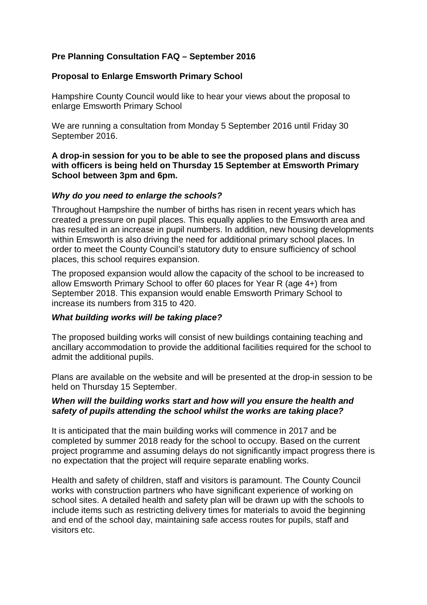# **Pre Planning Consultation FAQ – September 2016**

## **Proposal to Enlarge Emsworth Primary School**

Hampshire County Council would like to hear your views about the proposal to enlarge Emsworth Primary School

We are running a consultation from Monday 5 September 2016 until Friday 30 September 2016.

**A drop-in session for you to be able to see the proposed plans and discuss with officers is being held on Thursday 15 September at Emsworth Primary School between 3pm and 6pm.**

#### *Why do you need to enlarge the schools?*

Throughout Hampshire the number of births has risen in recent years which has created a pressure on pupil places. This equally applies to the Emsworth area and has resulted in an increase in pupil numbers. In addition, new housing developments within Emsworth is also driving the need for additional primary school places. In order to meet the County Council's statutory duty to ensure sufficiency of school places, this school requires expansion.

The proposed expansion would allow the capacity of the school to be increased to allow Emsworth Primary School to offer 60 places for Year R (age 4+) from September 2018. This expansion would enable Emsworth Primary School to increase its numbers from 315 to 420.

#### *What building works will be taking place?*

The proposed building works will consist of new buildings containing teaching and ancillary accommodation to provide the additional facilities required for the school to admit the additional pupils.

Plans are available on the website and will be presented at the drop-in session to be held on Thursday 15 September.

#### *When will the building works start and how will you ensure the health and safety of pupils attending the school whilst the works are taking place?*

It is anticipated that the main building works will commence in 2017 and be completed by summer 2018 ready for the school to occupy. Based on the current project programme and assuming delays do not significantly impact progress there is no expectation that the project will require separate enabling works.

Health and safety of children, staff and visitors is paramount. The County Council works with construction partners who have significant experience of working on school sites. A detailed health and safety plan will be drawn up with the schools to include items such as restricting delivery times for materials to avoid the beginning and end of the school day, maintaining safe access routes for pupils, staff and visitors etc.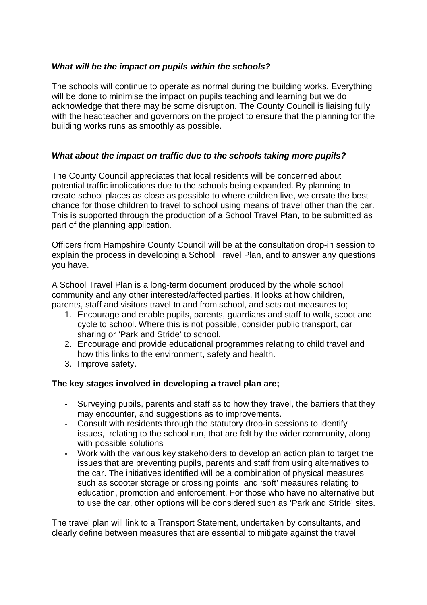# *What will be the impact on pupils within the schools?*

The schools will continue to operate as normal during the building works. Everything will be done to minimise the impact on pupils teaching and learning but we do acknowledge that there may be some disruption. The County Council is liaising fully with the headteacher and governors on the project to ensure that the planning for the building works runs as smoothly as possible.

# *What about the impact on traffic due to the schools taking more pupils?*

The County Council appreciates that local residents will be concerned about potential traffic implications due to the schools being expanded. By planning to create school places as close as possible to where children live, we create the best chance for those children to travel to school using means of travel other than the car. This is supported through the production of a School Travel Plan, to be submitted as part of the planning application.

Officers from Hampshire County Council will be at the consultation drop-in session to explain the process in developing a School Travel Plan, and to answer any questions you have.

A School Travel Plan is a long-term document produced by the whole school community and any other interested/affected parties. It looks at how children, parents, staff and visitors travel to and from school, and sets out measures to;

- 1. Encourage and enable pupils, parents, guardians and staff to walk, scoot and cycle to school. Where this is not possible, consider public transport, car sharing or 'Park and Stride' to school.
- 2. Encourage and provide educational programmes relating to child travel and how this links to the environment, safety and health.
- 3. Improve safety.

## **The key stages involved in developing a travel plan are;**

- **-** Surveying pupils, parents and staff as to how they travel, the barriers that they may encounter, and suggestions as to improvements.
- **-** Consult with residents through the statutory drop-in sessions to identify issues, relating to the school run, that are felt by the wider community, along with possible solutions
- **-** Work with the various key stakeholders to develop an action plan to target the issues that are preventing pupils, parents and staff from using alternatives to the car. The initiatives identified will be a combination of physical measures such as scooter storage or crossing points, and 'soft' measures relating to education, promotion and enforcement. For those who have no alternative but to use the car, other options will be considered such as 'Park and Stride' sites.

The travel plan will link to a Transport Statement, undertaken by consultants, and clearly define between measures that are essential to mitigate against the travel